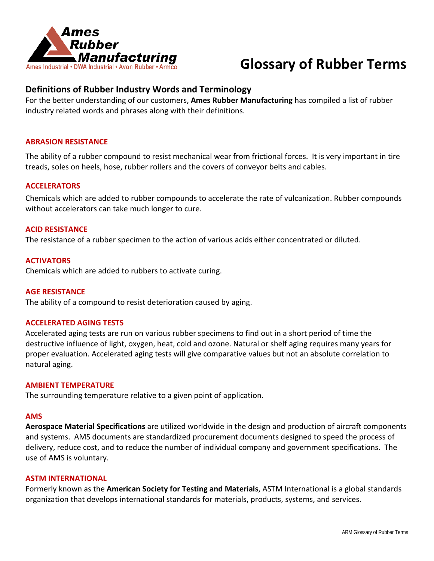

## **Definitions of Rubber Industry Words and Terminology**

For the better understanding of our customers, **Ames Rubber Manufacturing** has compiled a list of rubber industry related words and phrases along with their definitions.

## **ABRASION RESISTANCE**

The ability of a rubber compound to resist mechanical wear from frictional forces. It is very important in tire treads, soles on heels, hose, rubber rollers and the covers of conveyor belts and cables.

## **ACCELERATORS**

Chemicals which are added to rubber compounds to accelerate the rate of vulcanization. Rubber compounds without accelerators can take much longer to cure.

## **ACID RESISTANCE**

The resistance of a rubber specimen to the action of various acids either concentrated or diluted.

## **ACTIVATORS**

Chemicals which are added to rubbers to activate curing.

## **AGE RESISTANCE**

The ability of a compound to resist deterioration caused by aging.

## **ACCELERATED AGING TESTS**

Accelerated aging tests are run on various rubber specimens to find out in a short period of time the destructive influence of light, oxygen, heat, cold and ozone. Natural or shelf aging requires many years for proper evaluation. Accelerated aging tests will give comparative values but not an absolute correlation to natural aging.

### **AMBIENT TEMPERATURE**

The surrounding temperature relative to a given point of application.

### **AMS**

**Aerospace Material Specifications** are utilized worldwide in the design and production of aircraft components and systems. AMS documents are standardized procurement documents designed to speed the process of delivery, reduce cost, and to reduce the number of individual company and government specifications. The use of AMS is voluntary.

## **ASTM INTERNATIONAL**

Formerly known as the **American Society for Testing and Materials**, ASTM International is a global standards organization that develops international standards for materials, products, systems, and services.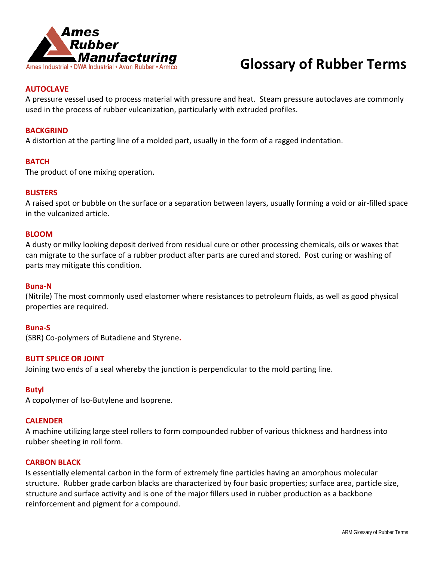

## **AUTOCLAVE**

A pressure vessel used to process material with pressure and heat. Steam pressure autoclaves are commonly used in the process of rubber vulcanization, particularly with extruded profiles.

## **BACKGRIND**

A distortion at the parting line of a molded part, usually in the form of a ragged indentation.

## **BATCH**

The product of one mixing operation.

## **BLISTERS**

A raised spot or bubble on the surface or a separation between layers, usually forming a void or air-filled space in the vulcanized article.

## **BLOOM**

A dusty or milky looking deposit derived from residual cure or other processing chemicals, oils or waxes that can migrate to the surface of a rubber product after parts are cured and stored. Post curing or washing of parts may mitigate this condition.

### **Buna-N**

(Nitrile) The most commonly used elastomer where resistances to petroleum fluids, as well as good physical properties are required.

## **Buna-S**

(SBR) Co-polymers of Butadiene and Styrene**.**

## **BUTT SPLICE OR JOINT**

Joining two ends of a seal whereby the junction is perpendicular to the mold parting line.

## **Butyl**

A copolymer of Iso-Butylene and Isoprene.

## **CALENDER**

A machine utilizing large steel rollers to form compounded rubber of various thickness and hardness into rubber sheeting in roll form.

### **CARBON BLACK**

Is essentially elemental carbon in the form of extremely fine particles having an amorphous molecular structure. Rubber grade carbon blacks are characterized by four basic properties; surface area, particle size, structure and surface activity and is one of the major fillers used in rubber production as a backbone reinforcement and pigment for a compound.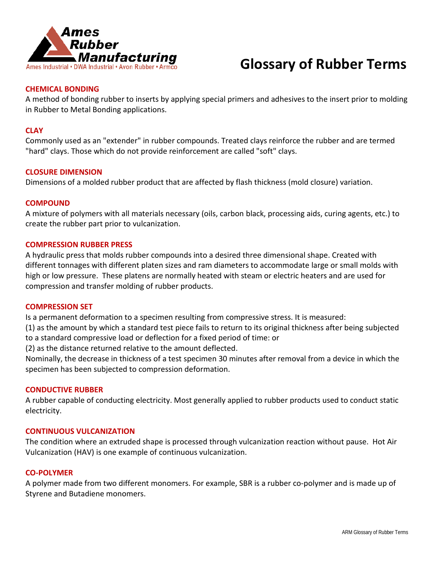

## **CHEMICAL BONDING**

A method of bonding rubber to inserts by applying special primers and adhesives to the insert prior to molding in Rubber to Metal Bonding applications.

## **CLAY**

Commonly used as an "extender" in rubber compounds. Treated clays reinforce the rubber and are termed "hard" clays. Those which do not provide reinforcement are called "soft" clays.

## **CLOSURE DIMENSION**

Dimensions of a molded rubber product that are affected by flash thickness (mold closure) variation.

## **COMPOUND**

A mixture of polymers with all materials necessary (oils, carbon black, processing aids, curing agents, etc.) to create the rubber part prior to vulcanization.

## **COMPRESSION RUBBER PRESS**

A hydraulic press that molds rubber compounds into a desired three dimensional shape. Created with different tonnages with different platen sizes and ram diameters to accommodate large or small molds with high or low pressure. These platens are normally heated with steam or electric heaters and are used for compression and transfer molding of rubber products.

### **COMPRESSION SET**

Is a permanent deformation to a specimen resulting from compressive stress. It is measured:

(1) as the amount by which a standard test piece fails to return to its original thickness after being subjected to a standard compressive load or deflection for a fixed period of time: or

(2) as the distance returned relative to the amount deflected.

Nominally, the decrease in thickness of a test specimen 30 minutes after removal from a device in which the specimen has been subjected to compression deformation.

## **CONDUCTIVE RUBBER**

A rubber capable of conducting electricity. Most generally applied to rubber products used to conduct static electricity.

## **CONTINUOUS VULCANIZATION**

The condition where an extruded shape is processed through vulcanization reaction without pause. Hot Air Vulcanization (HAV) is one example of continuous vulcanization.

## **CO-POLYMER**

A polymer made from two different monomers. For example, SBR is a rubber co-polymer and is made up of Styrene and Butadiene monomers.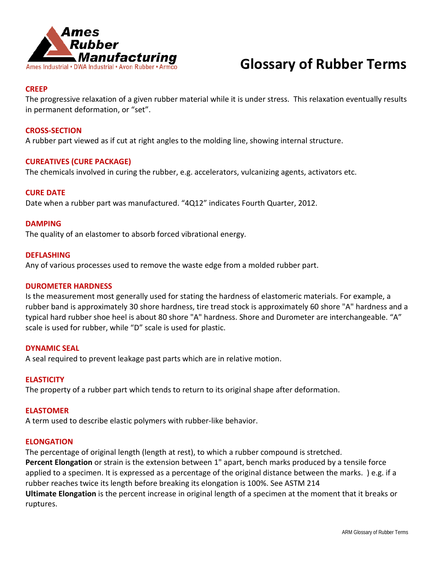

## **CREEP**

The progressive relaxation of a given rubber material while it is under stress. This relaxation eventually results in permanent deformation, or "set".

## **CROSS-SECTION**

A rubber part viewed as if cut at right angles to the molding line, showing internal structure.

## **CUREATIVES (CURE PACKAGE)**

The chemicals involved in curing the rubber, e.g. accelerators, vulcanizing agents, activators etc.

## **CURE DATE**

Date when a rubber part was manufactured. "4Q12" indicates Fourth Quarter, 2012.

## **DAMPING**

The quality of an elastomer to absorb forced vibrational energy.

## **DEFLASHING**

Any of various processes used to remove the waste edge from a molded rubber part.

## **DUROMETER HARDNESS**

Is the measurement most generally used for stating the hardness of elastomeric materials. For example, a rubber band is approximately 30 shore hardness, tire tread stock is approximately 60 shore "A" hardness and a typical hard rubber shoe heel is about 80 shore "A" hardness. Shore and Durometer are interchangeable. "A" scale is used for rubber, while "D" scale is used for plastic.

## **DYNAMIC SEAL**

A seal required to prevent leakage past parts which are in relative motion.

## **ELASTICITY**

The property of a rubber part which tends to return to its original shape after deformation.

## **ELASTOMER**

A term used to describe elastic polymers with rubber-like behavior.

## **ELONGATION**

The percentage of original length (length at rest), to which a rubber compound is stretched. **Percent Elongation** or strain is the extension between 1" apart, bench marks produced by a tensile force applied to a specimen. It is expressed as a percentage of the original distance between the marks. ) e.g. if a rubber reaches twice its length before breaking its elongation is 100%. See ASTM 214 **Ultimate Elongation** is the percent increase in original length of a specimen at the moment that it breaks or ruptures.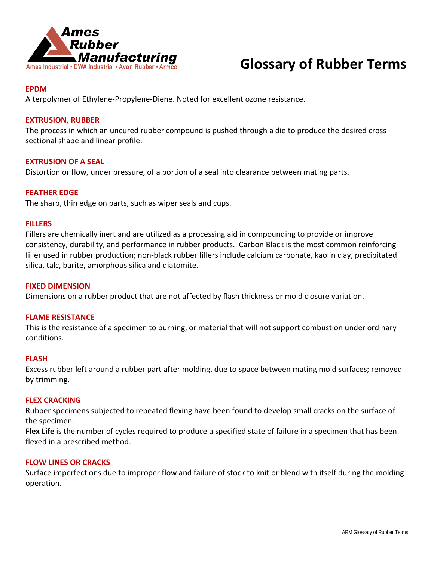

## **EPDM**

A terpolymer of Ethylene-Propylene-Diene. Noted for excellent ozone resistance.

## **EXTRUSION, RUBBER**

The process in which an uncured rubber compound is pushed through a die to produce the desired cross sectional shape and linear profile.

## **EXTRUSION OF A SEAL**

Distortion or flow, under pressure, of a portion of a seal into clearance between mating parts.

## **FEATHER EDGE**

The sharp, thin edge on parts, such as wiper seals and cups.

## **FILLERS**

Fillers are chemically inert and are utilized as a processing aid in compounding to provide or improve consistency, durability, and performance in rubber products. Carbon Black is the most common reinforcing filler used in rubber production; non-black rubber fillers include calcium carbonate, kaolin clay, precipitated silica, talc, barite, amorphous silica and diatomite.

### **FIXED DIMENSION**

Dimensions on a rubber product that are not affected by flash thickness or mold closure variation.

## **FLAME RESISTANCE**

This is the resistance of a specimen to burning, or material that will not support combustion under ordinary conditions.

## **FLASH**

Excess rubber left around a rubber part after molding, due to space between mating mold surfaces; removed by trimming.

### **FLEX CRACKING**

Rubber specimens subjected to repeated flexing have been found to develop small cracks on the surface of the specimen.

**Flex Life** is the number of cycles required to produce a specified state of failure in a specimen that has been flexed in a prescribed method.

## **FLOW LINES OR CRACKS**

Surface imperfections due to improper flow and failure of stock to knit or blend with itself during the molding operation.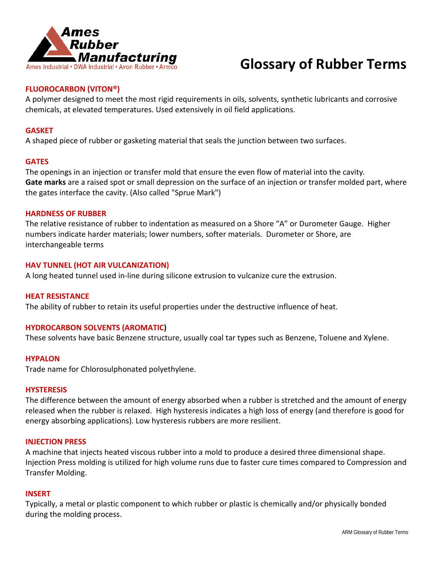

## **FLUOROCARBON (VITON®)**

A polymer designed to meet the most rigid requirements in oils, solvents, synthetic lubricants and corrosive chemicals, at elevated temperatures. Used extensively in oil field applications.

## **GASKET**

A shaped piece of rubber or gasketing material that seals the junction between two surfaces.

## **GATES**

The openings in an injection or transfer mold that ensure the even flow of material into the cavity. **Gate marks** are a raised spot or small depression on the surface of an injection or transfer molded part, where the gates interface the cavity. (Also called "Sprue Mark")

## **HARDNESS OF RUBBER**

The relative resistance of rubber to indentation as measured on a Shore "A" or Durometer Gauge. Higher numbers indicate harder materials; lower numbers, softer materials. Durometer or Shore, are interchangeable terms

## **HAV TUNNEL (HOT AIR VULCANIZATION)**

A long heated tunnel used in-line during silicone extrusion to vulcanize cure the extrusion.

## **HEAT RESISTANCE**

The ability of rubber to retain its useful properties under the destructive influence of heat.

## **HYDROCARBON SOLVENTS (AROMATIC)**

These solvents have basic Benzene structure, usually coal tar types such as Benzene, Toluene and Xylene.

### **HYPALON**

Trade name for Chlorosulphonated polyethylene.

## **HYSTERESIS**

The difference between the amount of energy absorbed when a rubber is stretched and the amount of energy released when the rubber is relaxed. High hysteresis indicates a high loss of energy (and therefore is good for energy absorbing applications). Low hysteresis rubbers are more resilient.

## **INJECTION PRESS**

A machine that injects heated viscous rubber into a mold to produce a desired three dimensional shape. Injection Press molding is utilized for high volume runs due to faster cure times compared to Compression and Transfer Molding.

### **INSERT**

Typically, a metal or plastic component to which rubber or plastic is chemically and/or physically bonded during the molding process.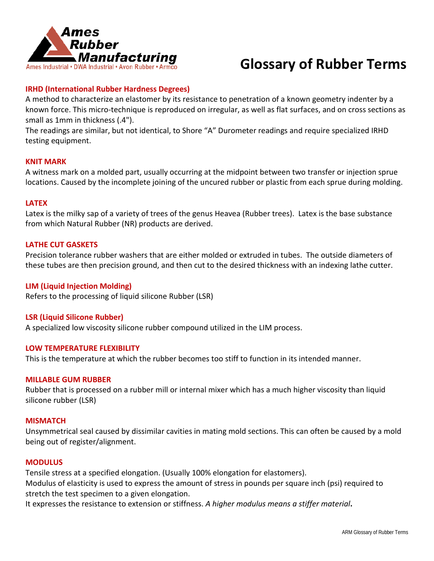

## **IRHD (International Rubber Hardness Degrees)**

A method to characterize an elastomer by its resistance to penetration of a known geometry indenter by a known force. This micro-technique is reproduced on irregular, as well as flat surfaces, and on cross sections as small as 1mm in thickness (.4").

The readings are similar, but not identical, to Shore "A" Durometer readings and require specialized IRHD testing equipment.

## **KNIT MARK**

A witness mark on a molded part, usually occurring at the midpoint between two transfer or injection sprue locations. Caused by the incomplete joining of the uncured rubber or plastic from each sprue during molding.

### **LATEX**

Latex is the milky sap of a variety of trees of the genus Heavea (Rubber trees). Latex is the base substance from which Natural Rubber (NR) products are derived.

## **LATHE CUT GASKETS**

Precision tolerance rubber washers that are either molded or extruded in tubes. The outside diameters of these tubes are then precision ground, and then cut to the desired thickness with an indexing lathe cutter.

## **LIM (Liquid Injection Molding)**

Refers to the processing of liquid silicone Rubber (LSR)

## **LSR (Liquid Silicone Rubber)**

A specialized low viscosity silicone rubber compound utilized in the LIM process.

## **LOW TEMPERATURE FLEXIBILITY**

This is the temperature at which the rubber becomes too stiff to function in its intended manner.

### **MILLABLE GUM RUBBER**

Rubber that is processed on a rubber mill or internal mixer which has a much higher viscosity than liquid silicone rubber (LSR)

## **MISMATCH**

Unsymmetrical seal caused by dissimilar cavities in mating mold sections. This can often be caused by a mold being out of register/alignment.

### **MODULUS**

Tensile stress at a specified elongation. (Usually 100% elongation for elastomers). Modulus of elasticity is used to express the amount of stress in pounds per square inch (psi) required to stretch the test specimen to a given elongation.

It expresses the resistance to extension or stiffness. *A higher modulus means a stiffer material***.**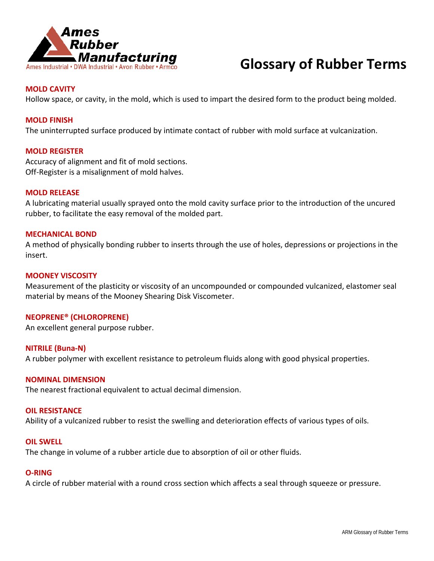

## **MOLD CAVITY**

Hollow space, or cavity, in the mold, which is used to impart the desired form to the product being molded.

## **MOLD FINISH**

The uninterrupted surface produced by intimate contact of rubber with mold surface at vulcanization.

## **MOLD REGISTER**

Accuracy of alignment and fit of mold sections. Off-Register is a misalignment of mold halves.

## **MOLD RELEASE**

A lubricating material usually sprayed onto the mold cavity surface prior to the introduction of the uncured rubber, to facilitate the easy removal of the molded part.

## **MECHANICAL BOND**

A method of physically bonding rubber to inserts through the use of holes, depressions or projections in the insert.

## **MOONEY VISCOSITY**

Measurement of the plasticity or viscosity of an uncompounded or compounded vulcanized, elastomer seal material by means of the Mooney Shearing Disk Viscometer.

### **NEOPRENE® (CHLOROPRENE)**

An excellent general purpose rubber.

## **NITRILE (Buna-N)**

A rubber polymer with excellent resistance to petroleum fluids along with good physical properties.

### **NOMINAL DIMENSION**

The nearest fractional equivalent to actual decimal dimension.

## **OIL RESISTANCE**

Ability of a vulcanized rubber to resist the swelling and deterioration effects of various types of oils.

### **OIL SWELL**

The change in volume of a rubber article due to absorption of oil or other fluids.

## **O-RING**

A circle of rubber material with a round cross section which affects a seal through squeeze or pressure.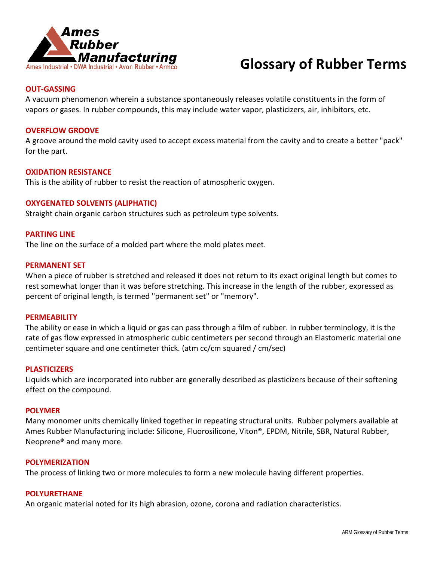

## **OUT-GASSING**

A vacuum phenomenon wherein a substance spontaneously releases volatile constituents in the form of vapors or gases. In rubber compounds, this may include water vapor, plasticizers, air, inhibitors, etc.

## **OVERFLOW GROOVE**

A groove around the mold cavity used to accept excess material from the cavity and to create a better "pack" for the part.

## **OXIDATION RESISTANCE**

This is the ability of rubber to resist the reaction of atmospheric oxygen.

## **OXYGENATED SOLVENTS (ALIPHATIC)**

Straight chain organic carbon structures such as petroleum type solvents.

## **PARTING LINE**

The line on the surface of a molded part where the mold plates meet.

## **PERMANENT SET**

When a piece of rubber is stretched and released it does not return to its exact original length but comes to rest somewhat longer than it was before stretching. This increase in the length of the rubber, expressed as percent of original length, is termed "permanent set" or "memory".

### **PERMEABILITY**

The ability or ease in which a liquid or gas can pass through a film of rubber. In rubber terminology, it is the rate of gas flow expressed in atmospheric cubic centimeters per second through an Elastomeric material one centimeter square and one centimeter thick. (atm cc/cm squared / cm/sec)

### **PLASTICIZERS**

Liquids which are incorporated into rubber are generally described as plasticizers because of their softening effect on the compound.

## **POLYMER**

Many monomer units chemically linked together in repeating structural units. Rubber polymers available at Ames Rubber Manufacturing include: Silicone, Fluorosilicone, Viton®, EPDM, Nitrile, SBR, Natural Rubber, Neoprene® and many more.

## **POLYMERIZATION**

The process of linking two or more molecules to form a new molecule having different properties.

### **POLYURETHANE**

An organic material noted for its high abrasion, ozone, corona and radiation characteristics.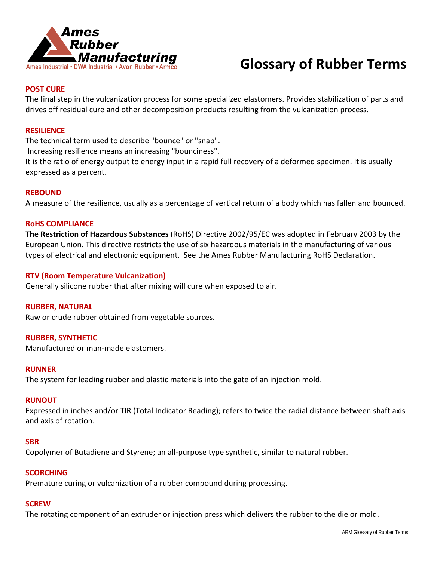

## **POST CURE**

The final step in the vulcanization process for some specialized elastomers. Provides stabilization of parts and drives off residual cure and other decomposition products resulting from the vulcanization process.

## **RESILIENCE**

The technical term used to describe "bounce" or "snap".

Increasing resilience means an increasing "bounciness".

It is the ratio of energy output to energy input in a rapid full recovery of a deformed specimen. It is usually expressed as a percent.

## **REBOUND**

A measure of the resilience, usually as a percentage of vertical return of a body which has fallen and bounced.

## **RoHS COMPLIANCE**

**The Restriction of Hazardous Substances** (RoHS) Directive 2002/95/EC was adopted in February 2003 by the European Union. This directive restricts the use of six hazardous materials in the manufacturing of various types of electrical and electronic equipment. See the Ames Rubber Manufacturing RoHS Declaration.

## **RTV (Room Temperature Vulcanization)**

Generally silicone rubber that after mixing will cure when exposed to air.

## **RUBBER, NATURAL**

Raw or crude rubber obtained from vegetable sources.

## **RUBBER, SYNTHETIC**

Manufactured or man-made elastomers.

### **RUNNER**

The system for leading rubber and plastic materials into the gate of an injection mold.

### **RUNOUT**

Expressed in inches and/or TIR (Total Indicator Reading); refers to twice the radial distance between shaft axis and axis of rotation.

### **SBR**

Copolymer of Butadiene and Styrene; an all-purpose type synthetic, similar to natural rubber.

## **SCORCHING**

Premature curing or vulcanization of a rubber compound during processing.

## **SCREW**

The rotating component of an extruder or injection press which delivers the rubber to the die or mold.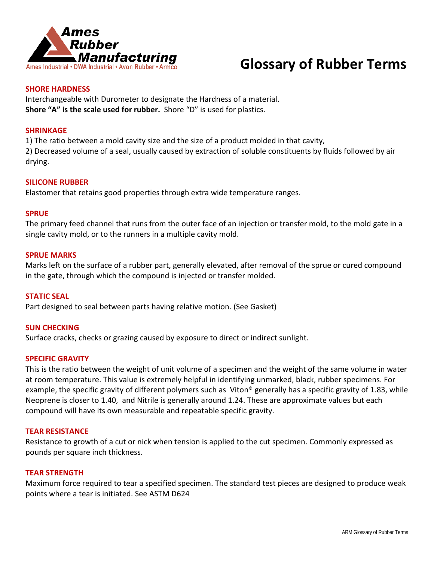

## **SHORE HARDNESS**

Interchangeable with Durometer to designate the Hardness of a material. **Shore "A" is the scale used for rubber.** Shore "D" is used for plastics.

## **SHRINKAGE**

1) The ratio between a mold cavity size and the size of a product molded in that cavity,

2) Decreased volume of a seal, usually caused by extraction of soluble constituents by fluids followed by air drying.

## **SILICONE RUBBER**

Elastomer that retains good properties through extra wide temperature ranges.

### **SPRUE**

The primary feed channel that runs from the outer face of an injection or transfer mold, to the mold gate in a single cavity mold, or to the runners in a multiple cavity mold.

## **SPRUE MARKS**

Marks left on the surface of a rubber part, generally elevated, after removal of the sprue or cured compound in the gate, through which the compound is injected or transfer molded.

## **STATIC SEAL**

Part designed to seal between parts having relative motion. (See Gasket)

## **SUN CHECKING**

Surface cracks, checks or grazing caused by exposure to direct or indirect sunlight.

## **SPECIFIC GRAVITY**

This is the ratio between the weight of unit volume of a specimen and the weight of the same volume in water at room temperature. This value is extremely helpful in identifying unmarked, black, rubber specimens. For example, the specific gravity of different polymers such as Viton® generally has a specific gravity of 1.83, while Neoprene is closer to 1.40, and Nitrile is generally around 1.24. These are approximate values but each compound will have its own measurable and repeatable specific gravity.

### **TEAR RESISTANCE**

Resistance to growth of a cut or nick when tension is applied to the cut specimen. Commonly expressed as pounds per square inch thickness.

## **TEAR STRENGTH**

Maximum force required to tear a specified specimen. The standard test pieces are designed to produce weak points where a tear is initiated. See ASTM D624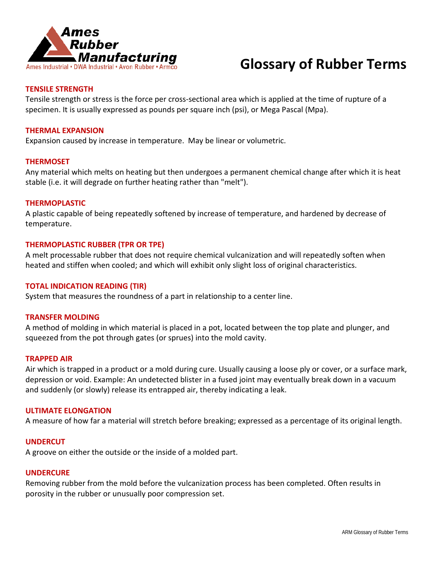

## **TENSILE STRENGTH**

Tensile strength or stress is the force per cross-sectional area which is applied at the time of rupture of a specimen. It is usually expressed as pounds per square inch (psi), or Mega Pascal (Mpa).

## **THERMAL EXPANSION**

Expansion caused by increase in temperature. May be linear or volumetric.

## **THERMOSET**

Any material which melts on heating but then undergoes a permanent chemical change after which it is heat stable (i.e. it will degrade on further heating rather than "melt").

## **THERMOPLASTIC**

A plastic capable of being repeatedly softened by increase of temperature, and hardened by decrease of temperature.

## **THERMOPLASTIC RUBBER (TPR OR TPE)**

A melt processable rubber that does not require chemical vulcanization and will repeatedly soften when heated and stiffen when cooled; and which will exhibit only slight loss of original characteristics.

## **TOTAL INDICATION READING (TIR)**

System that measures the roundness of a part in relationship to a center line.

## **TRANSFER MOLDING**

A method of molding in which material is placed in a pot, located between the top plate and plunger, and squeezed from the pot through gates (or sprues) into the mold cavity.

## **TRAPPED AIR**

Air which is trapped in a product or a mold during cure. Usually causing a loose ply or cover, or a surface mark, depression or void. Example: An undetected blister in a fused joint may eventually break down in a vacuum and suddenly (or slowly) release its entrapped air, thereby indicating a leak.

## **ULTIMATE ELONGATION**

A measure of how far a material will stretch before breaking; expressed as a percentage of its original length.

## **UNDERCUT**

A groove on either the outside or the inside of a molded part.

## **UNDERCURE**

Removing rubber from the mold before the vulcanization process has been completed. Often results in porosity in the rubber or unusually poor compression set.